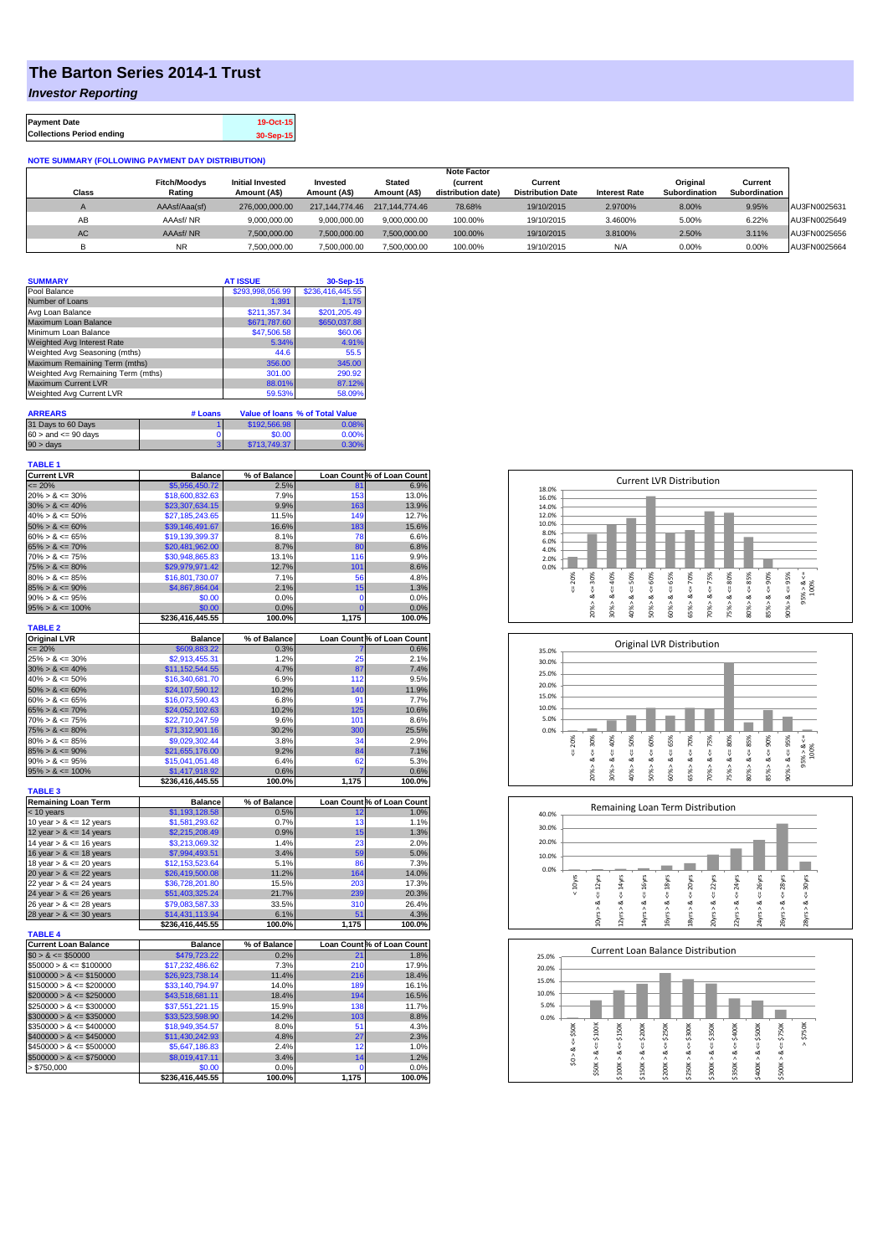## **The Barton Series 2014-1 Trust**

*Investor Reporting*

| <b>Payment Date</b>              | 19-Oct-15 |
|----------------------------------|-----------|
| <b>Collections Period ending</b> | 30-Sep-15 |

## **NOTE SUMMARY (FOLLOWING PAYMENT DAY DISTRIBUTION)**

|              |                     |                         |                |                | <b>Note Factor</b> |                          |                      |               |               |              |
|--------------|---------------------|-------------------------|----------------|----------------|--------------------|--------------------------|----------------------|---------------|---------------|--------------|
|              | <b>Fitch/Moodys</b> | <b>Initial Invested</b> | Invested       | Stated         | <b>Current</b>     | Current                  |                      | Original      | Current       |              |
| <b>Class</b> | Rating              | Amount (A\$)            | Amount (A\$)   | Amount (A\$)   | distribution date) | <b>Distribution Date</b> | <b>Interest Rate</b> | Subordination | Subordination |              |
|              | AAAsf/Aaa(sf)       | 276,000,000,00          | 217.144.774.46 | 217.144.774.46 | 78.68%             | 19/10/2015               | 2.9700%              | 8.00%         | 9.95%         | AU3FN0025631 |
| AB           | AAAsf/NR            | 9,000,000.00            | 9.000.000.00   | 9.000.000.00   | 100.00%            | 19/10/2015               | 3.4600%              | 5.00%         | 6.22%         | AU3FN0025649 |
| AC.          | AAAsf/NR            | 7,500,000.00            | 7.500.000.00   | 7.500.000.00   | 100.00%            | 19/10/2015               | 3.8100%              | 2.50%         | 3.11%         | AU3FN0025656 |
|              | <b>NR</b>           | ,500,000.00             | 7.500.000.00   | 7,500,000.00   | 100.00%            | 19/10/2015               | N/A                  | 0.00%         | 0.00%         | AU3FN0025664 |

| <b>SUMMARY</b>                     |         | <b>AT ISSUE</b>  | 30-Sep-15                              |
|------------------------------------|---------|------------------|----------------------------------------|
| Pool Balance                       |         | \$293,998,056.99 | \$236,416,445.55                       |
| Number of Loans                    |         | 1.391            | 1.175                                  |
| Avg Loan Balance                   |         | \$211.357.34     | \$201.205.49                           |
| Maximum Loan Balance               |         | \$671.787.60     | \$650,037.88                           |
| Minimum Loan Balance               |         | \$47,506.58      | \$60.06                                |
| <b>Weighted Avg Interest Rate</b>  |         | 5.34%            | 4.91%                                  |
| Weighted Avg Seasoning (mths)      |         | 44.6             | 55.5                                   |
| Maximum Remaining Term (mths)      |         | 356.00           | 345.00                                 |
| Weighted Avg Remaining Term (mths) |         | 301.00           | 290.92                                 |
| <b>Maximum Current LVR</b>         |         | 88.01%           | 87.12%                                 |
| Weighted Avg Current LVR           |         | 59.53%           | 58.09%                                 |
| <b>ARREARS</b>                     | # Loans |                  | <b>Value of Ioans % of Total Value</b> |

| 31 Days to 60 Days        | \$192,566.98 | 0.08% |
|---------------------------|--------------|-------|
| $60 >$ and $\leq 90$ days | \$0.00       | 0.00% |
| $90 > \text{days}$        | \$713,749.37 | 0.30% |
|                           |              |       |

| <b>TABLE 1</b><br><b>Current LVR</b>       | <b>Balance</b>             | % of Balance  |             | Loan Count % of Loan Count |
|--------------------------------------------|----------------------------|---------------|-------------|----------------------------|
| $= 20%$                                    | \$5,956,450.72             | 2.5%          | 81          | 6.9%                       |
| $20\% > 8 \le 30\%$                        | \$18,600,832.63            | 7.9%          | 153         | 13.0%                      |
| $30\% > 8 \le 40\%$                        | \$23,307,634.15            | 9.9%          | 163         | 13.9%                      |
| $40\% > 8 \le 50\%$                        |                            |               | 149         | 12.7%                      |
|                                            | \$27,185,243.65            | 11.5%         |             |                            |
| $50\% > 8 \le 60\%$                        | \$39,146,491.67            | 16.6%         | 183         | 15.6%                      |
| $60\% > 8 \le 65\%$<br>$65\% > 8 \le 70\%$ | \$19,139,399.37            | 8.1%<br>8.7%  | 78<br>80    | 6.6%                       |
|                                            | \$20,481,962.00            |               |             | 6.8%                       |
| $70\% > 8 \le 75\%$                        | \$30,948,865.83            | 13.1%         | 116         | 9.9%                       |
| $75\% > 8 \le 80\%$<br>$80\% > 8 \le 85\%$ | \$29,979,971.42            | 12.7%<br>7.1% | 101         | 8.6%                       |
| $85\% > 8 \le 90\%$                        | \$16,801,730.07            |               | 56<br>15    | 4.8%                       |
| $90\% > 8 \le 95\%$                        | \$4,867,864.04             | 2.1%          | $\mathbf 0$ | 1.3%                       |
|                                            | \$0.00                     | 0.0%<br>0.0%  | Ō           | 0.0%                       |
| $95\% > 8 \le 100\%$                       | \$0.00<br>\$236,416,445.55 | 100.0%        | 1,175       | 0.0%                       |
| <b>TABLE 2</b>                             |                            |               |             | 100.0%                     |
| <b>Original LVR</b>                        | <b>Balance</b>             | % of Balance  |             | Loan Count % of Loan Count |
| $= 20%$                                    | \$609,883.22               | 0.3%          |             | 0.6%                       |
| $25\% > 8 \le 30\%$                        | \$2,913,455.31             | 1.2%          | 25          | 2.1%                       |
| $30\% > 8 \le 40\%$                        | \$11,152,544.55            | 4.7%          | 87          | 7.4%                       |
| $40\% > 8 \le 50\%$                        | \$16,340,681.70            | 6.9%          | 112         | 9.5%                       |
| $50\% > 8 \le 60\%$                        | \$24,107,590.12            | 10.2%         | 140         | 11.9%                      |
| $60\% > 8 \le 65\%$                        | \$16,073,590.43            | 6.8%          | 91          | 7.7%                       |
| $65\% > 8 \le 70\%$                        | \$24,052,102.63            | 10.2%         | 125         | 10.6%                      |
| $70\% > 8 \le 75\%$                        | \$22,710,247.59            | 9.6%          | 101         | 8.6%                       |
| $75\% > 8 \le 80\%$                        | \$71,312,901.16            | 30.2%         | 300         | 25.5%                      |
| $80\% > 8 \le 85\%$                        | \$9,029,302.44             | 3.8%          | 34          | 2.9%                       |
| $85\% > 8 \le 90\%$                        | \$21,655,176.00            | 9.2%          | 84          | 7.1%                       |
| $90\% > 8 \le 95\%$                        | \$15,041,051.48            | 6.4%          | 62          | 5.3%                       |
| $95\% > 8 \le 100\%$                       | \$1,417,918.92             | 0.6%          | 7           | 0.6%                       |
|                                            | \$236,416,445.55           | 100.0%        | 1,175       | 100.0%                     |
| <b>TABLE 3</b>                             |                            |               |             |                            |
| <b>Remaining Loan Term</b>                 | <b>Balance</b>             | % of Balance  |             | Loan Count % of Loan Count |
| < 10 years                                 | \$1,193,128.58             | 0.5%          | 12          | 1.0%                       |
| 10 year $> 8 \le 12$ years                 | \$1,581,293.62             | 0.7%          | 13          | 1.1%                       |
| 12 year $> 8 \le 14$ years                 | \$2,215,208.49             | 0.9%          | 15          | 1.3%                       |
| 14 year $> 8 \le 16$ years                 | \$3,213,069.32             | 1.4%          | 23          | 2.0%                       |
| 16 year $> 8 \le 18$ years                 | \$7,994,493.51             | 3.4%          | 59          | 5.0%                       |
| 18 year $> 8 \le 20$ years                 | \$12,153,523.64            | 5.1%          | 86          | 7.3%                       |
| 20 year $> 8 \le 22$ years                 | \$26,419,500.08            | 11.2%         | 164         | 14.0%                      |
| 22 year $> 8 \le 24$ years                 | \$36,728,201.80            | 15.5%         | 203         | 17.3%                      |
| 24 year $> 8 \le 26$ years                 | \$51,403,325.24            | 21.7%         | 239         | 20.3%                      |
| 26 year > & <= 28 years                    | \$79,083,587.33            | 33.5%         | 310         | 26.4%                      |
| 28 year $> 8 \le 30$ years                 | \$14,431,113.94            | 6.1%          | 51          | 4.3%                       |
|                                            | \$236,416,445.55           | 100.0%        | 1,175       | 100.0%                     |
| <b>TABLE 4</b>                             |                            |               |             |                            |
| <b>Current Loan Balance</b>                | <b>Balance</b>             | % of Balance  |             | Loan Count % of Loan Count |
| $$0 > 8 \le $50000$                        | \$479,723.22               | 0.2%          | 21          | 1.8%                       |
| $$50000 > 8 \le $100000$                   | \$17,232,486.62            | 7.3%          | 210         | 17.9%                      |
| $$100000 > 8 \leq $150000$                 | \$26,923,738.14            | 11.4%         | 216         | 18.4%                      |
| $$150000 > 8 \leq $200000$                 | \$33,140,794.97            | 14.0%         | 189         | 16.1%                      |
| $$200000 > 8 \leq $250000$                 | \$43,518,681.11            | 18.4%         | 194         | 16.5%                      |
| $$250000 > 8 \leq $300000$                 | \$37,551,221.15            | 15.9%         | 138         | 11.7%                      |
| $$300000 > 8 \leq $350000$                 | \$33,523,598.90            | 14.2%         | 103         | 8.8%                       |
| $$350000 > 8 \leq $400000$                 | \$18,949,354.57            | 8.0%          | 51          | 4.3%                       |
| $$400000 > 8 \le $450000$                  | \$11,430,242.93            | 4.8%          | 27          | 2.3%                       |
| $$450000 > 8 \leq $500000$                 | \$5,647,186.83             | 2.4%          | 12          | 1.0%                       |
| $$500000 > 8 \leq $750000$                 | \$8,019,417.11             | 3.4%          | 14          | 1.2%                       |
|                                            |                            |               |             |                            |
| > \$750,000                                | \$0.00<br>\$236,416,445.55 | 0.0%          | 0<br>1,175  | 0.0%                       |